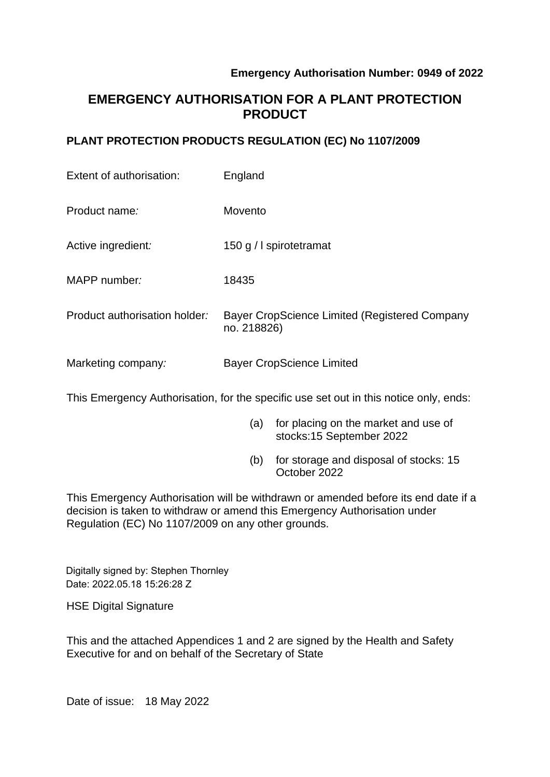### **Emergency Authorisation Number: 0949 of 2022**

# **EMERGENCY AUTHORISATION FOR A PLANT PROTECTION PRODUCT**

### **PLANT PROTECTION PRODUCTS REGULATION (EC) No 1107/2009**

| Extent of authorisation:      | England                                                      |
|-------------------------------|--------------------------------------------------------------|
| Product name:                 | Movento                                                      |
| Active ingredient:            | 150 g / I spirotetramat                                      |
| MAPP number:                  | 18435                                                        |
| Product authorisation holder: | Bayer CropScience Limited (Registered Company<br>no. 218826) |
| Marketing company:            | <b>Bayer CropScience Limited</b>                             |

This Emergency Authorisation, for the specific use set out in this notice only, ends:

- (a) for placing on the market and use of stocks:15 September 2022
- (b) for storage and disposal of stocks: 15 October 2022

This Emergency Authorisation will be withdrawn or amended before its end date if a decision is taken to withdraw or amend this Emergency Authorisation under Regulation (EC) No 1107/2009 on any other grounds.

Digitally signed by: Stephen Thornley Date: 2022.05.18 15:26:28 Z

HSE Digital Signature

This and the attached Appendices 1 and 2 are signed by the Health and Safety Executive for and on behalf of the Secretary of State

Date of issue: 18 May 2022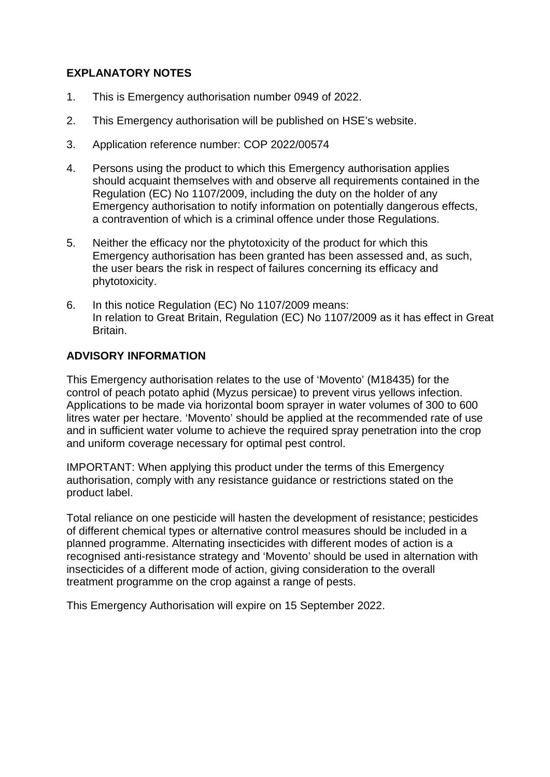# **EXPLANATORY NOTES**

- 1. This is Emergency authorisation number 0949 of 2022.
- 2. This Emergency authorisation will be published on HSE's website.
- 3. Application reference number: COP 2022/00574
- 4. Persons using the product to which this Emergency authorisation applies should acquaint themselves with and observe all requirements contained in the Regulation (EC) No 1107/2009, including the duty on the holder of any Emergency authorisation to notify information on potentially dangerous effects, a contravention of which is a criminal offence under those Regulations.
- 5. Neither the efficacy nor the phytotoxicity of the product for which this Emergency authorisation has been granted has been assessed and, as such, the user bears the risk in respect of failures concerning its efficacy and phytotoxicity.
- 6. In this notice Regulation (EC) No 1107/2009 means: In relation to Great Britain, Regulation (EC) No 1107/2009 as it has effect in Great Britain.

### **ADVISORY INFORMATION**

This Emergency authorisation relates to the use of 'Movento' (M18435) for the control of peach potato aphid (Myzus persicae) to prevent virus yellows infection. Applications to be made via horizontal boom sprayer in water volumes of 300 to 600 litres water per hectare. 'Movento' should be applied at the recommended rate of use and in sufficient water volume to achieve the required spray penetration into the crop and uniform coverage necessary for optimal pest control.

IMPORTANT: When applying this product under the terms of this Emergency authorisation, comply with any resistance guidance or restrictions stated on the product label.

Total reliance on one pesticide will hasten the development of resistance; pesticides of different chemical types or alternative control measures should be included in a planned programme. Alternating insecticides with different modes of action is a recognised anti-resistance strategy and 'Movento' should be used in alternation with insecticides of a different mode of action, giving consideration to the overall treatment programme on the crop against a range of pests.

This Emergency Authorisation will expire on 15 September 2022.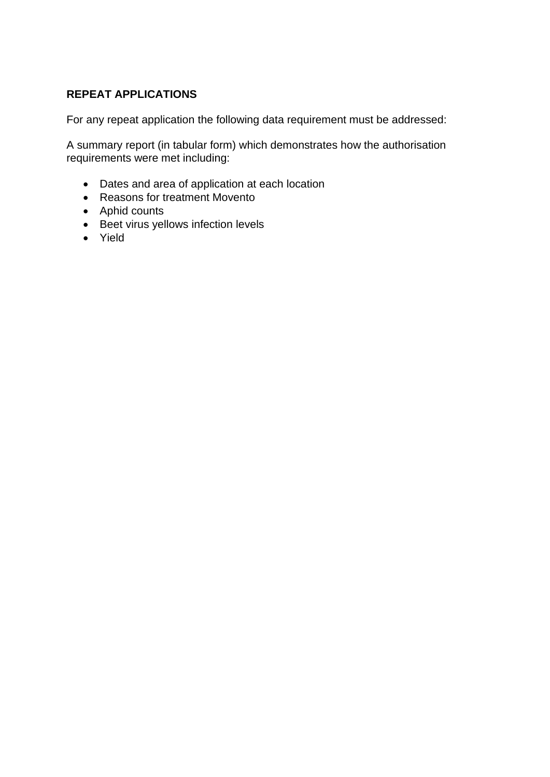# **REPEAT APPLICATIONS**

For any repeat application the following data requirement must be addressed:

A summary report (in tabular form) which demonstrates how the authorisation requirements were met including:

- Dates and area of application at each location
- Reasons for treatment Movento
- Aphid counts
- Beet virus yellows infection levels
- Yield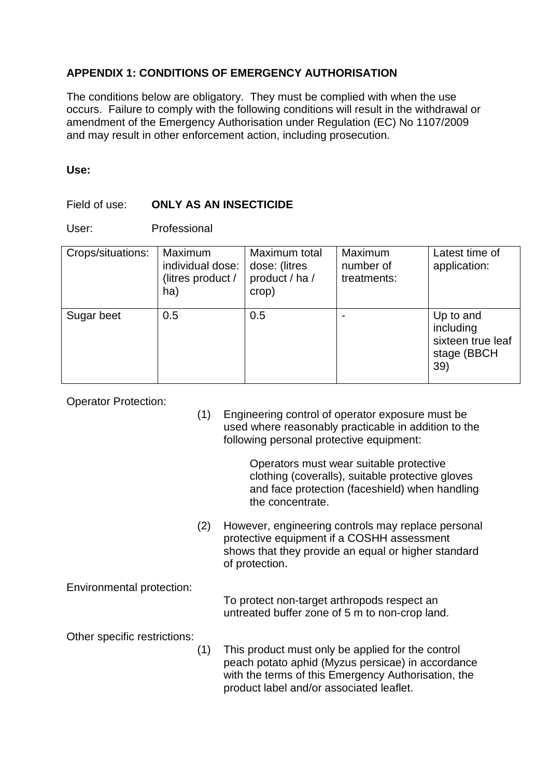# **APPENDIX 1: CONDITIONS OF EMERGENCY AUTHORISATION**

The conditions below are obligatory. They must be complied with when the use occurs. Failure to comply with the following conditions will result in the withdrawal or amendment of the Emergency Authorisation under Regulation (EC) No 1107/2009 and may result in other enforcement action, including prosecution.

### **Use:**

# Field of use: **ONLY AS AN INSECTICIDE**

User: Professional

| Crops/situations: | Maximum<br>individual dose:<br>(litres product /<br>ha) | Maximum total<br>dose: (litres<br>product / ha /<br>crop) | <b>Maximum</b><br>number of<br>treatments: | Latest time of<br>application:                                    |
|-------------------|---------------------------------------------------------|-----------------------------------------------------------|--------------------------------------------|-------------------------------------------------------------------|
| Sugar beet        | 0.5                                                     | 0.5                                                       |                                            | Up to and<br>including<br>sixteen true leaf<br>stage (BBCH<br>39) |

Operator Protection:

(1) Engineering control of operator exposure must be used where reasonably practicable in addition to the following personal protective equipment:

> Operators must wear suitable protective clothing (coveralls), suitable protective gloves and face protection (faceshield) when handling the concentrate.

(2) However, engineering controls may replace personal protective equipment if a COSHH assessment shows that they provide an equal or higher standard of protection.

Environmental protection:

To protect non-target arthropods respect an untreated buffer zone of 5 m to non-crop land.

Other specific restrictions:

(1) This product must only be applied for the control peach potato aphid (Myzus persicae) in accordance with the terms of this Emergency Authorisation, the product label and/or associated leaflet.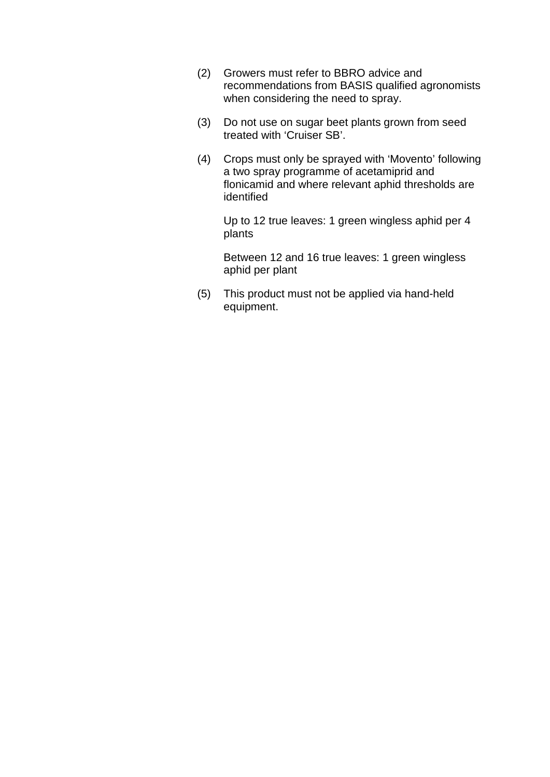- (2) Growers must refer to BBRO advice and recommendations from BASIS qualified agronomists when considering the need to spray.
- (3) Do not use on sugar beet plants grown from seed treated with 'Cruiser SB'.
- (4) Crops must only be sprayed with 'Movento' following a two spray programme of acetamiprid and flonicamid and where relevant aphid thresholds are identified

Up to 12 true leaves: 1 green wingless aphid per 4 plants

Between 12 and 16 true leaves: 1 green wingless aphid per plant

(5) This product must not be applied via hand-held equipment.